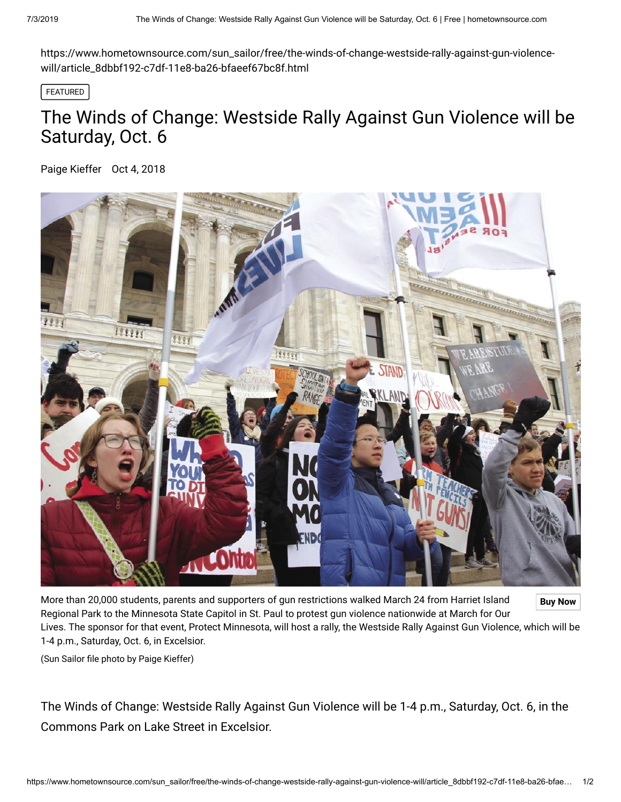https://www.hometownsource.com/sun\_sailor/free/the-winds-of-change-westside-rally-against-gun-violencewill/article\_8dbbf192-c7df-11e8-ba26-bfaeef67bc8f.html

FEATURED

## The Winds of Change: Westside Rally Against Gun Violence will be Saturday, Oct. 6

[Paige Kieffer](https://www.hometownsource.com/users/profile/pkieffer) Oct 4, 2018



More than 20,000 students, parents and supporters of gun restrictions walked March 24 from Harriet Island **Buy Now** Regional Park to the Minnesota State Capitol in St. Paul to protest gun violence nationwide at March for Our Lives. The sponsor for that event, Protect Minnesota, will host a rally, the Westside Rally Against Gun Violence, which will be 1-4 p.m., Saturday, Oct. 6, in Excelsior.

(Sun Sailor file photo by Paige Kieffer)

The Winds of Change: Westside Rally Against Gun Violence will be 1-4 p.m., Saturday, Oct. 6, in the Commons Park on Lake Street in Excelsior.